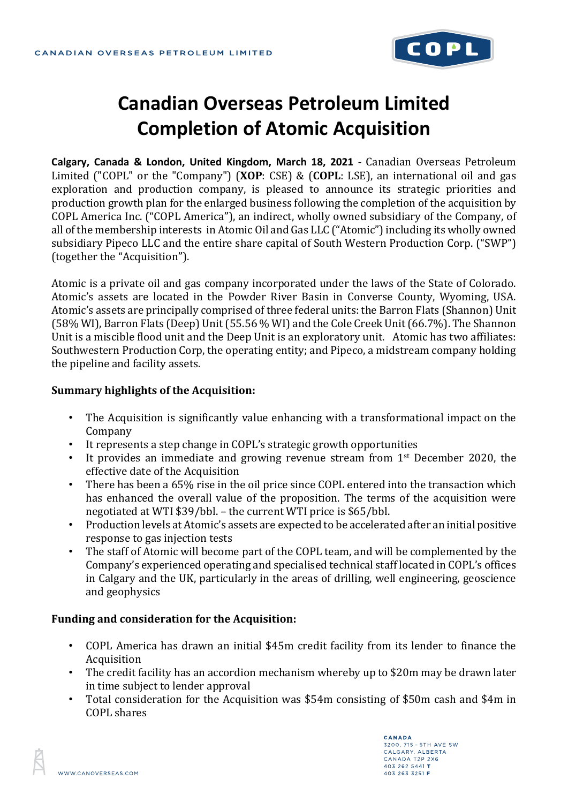

# **Canadian Overseas Petroleum Limited Completion of Atomic Acquisition**

**Calgary, Canada & London, United Kingdom, March 18, 2021** - Canadian Overseas Petroleum Limited ("COPL" or the "Company") (**XOP**: CSE) & (**COPL**: LSE), an international oil and gas exploration and production company, is pleased to announce its strategic priorities and production growth plan for the enlarged business following the completion of the acquisition by COPL America Inc. ("COPL America"), an indirect, wholly owned subsidiary of the Company, of all of the membership interests in Atomic Oil and Gas LLC ("Atomic") including its wholly owned subsidiary Pipeco LLC and the entire share capital of South Western Production Corp. ("SWP") (together the "Acquisition").

Atomic is a private oil and gas company incorporated under the laws of the State of Colorado. Atomic's assets are located in the Powder River Basin in Converse County, Wyoming, USA. Atomic's assets are principally comprised of three federal units: the Barron Flats (Shannon) Unit (58% WI), Barron Flats (Deep) Unit (55.56 % WI) and the Cole Creek Unit (66.7%). The Shannon Unit is a miscible flood unit and the Deep Unit is an exploratory unit. Atomic has two affiliates: Southwestern Production Corp, the operating entity; and Pipeco, a midstream company holding the pipeline and facility assets.

### **Summary highlights of the Acquisition:**

- The Acquisition is significantly value enhancing with a transformational impact on the Company
- It represents a step change in COPL's strategic growth opportunities
- It provides an immediate and growing revenue stream from 1<sup>st</sup> December 2020, the effective date of the Acquisition
- There has been a 65% rise in the oil price since COPL entered into the transaction which has enhanced the overall value of the proposition. The terms of the acquisition were negotiated at WTI \$39/bbl. – the current WTI price is \$65/bbl.
- Production levels at Atomic's assets are expected to be accelerated after an initial positive response to gas injection tests
- The staff of Atomic will become part of the COPL team, and will be complemented by the Company's experienced operating and specialised technical staff located in COPL's offices in Calgary and the UK, particularly in the areas of drilling, well engineering, geoscience and geophysics

### **Funding and consideration for the Acquisition:**

- COPL America has drawn an initial \$45m credit facility from its lender to finance the Acquisition
- The credit facility has an accordion mechanism whereby up to \$20m may be drawn later in time subject to lender approval
- Total consideration for the Acquisition was \$54m consisting of \$50m cash and \$4m in COPL shares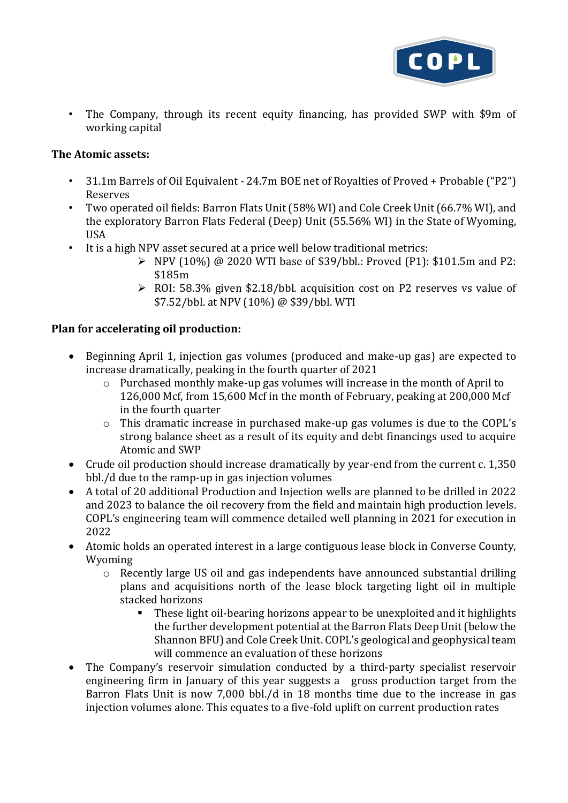

• The Company, through its recent equity financing, has provided SWP with \$9m of working capital

## **The Atomic assets:**

- 31.1m Barrels of Oil Equivalent 24.7m BOE net of Royalties of Proved + Probable ("P2") Reserves
- Two operated oil fields: Barron Flats Unit (58% WI) and Cole Creek Unit (66.7% WI), and the exploratory Barron Flats Federal (Deep) Unit (55.56% WI) in the State of Wyoming, USA
- It is a high NPV asset secured at a price well below traditional metrics:
	- $\triangleright$  NPV (10%) @ 2020 WTI base of \$39/bbl.: Proved (P1): \$101.5m and P2: \$185m
	- ➢ ROI: 58.3% given \$2.18/bbl. acquisition cost on P2 reserves vs value of \$7.52/bbl. at NPV (10%) @ \$39/bbl. WTI

## **Plan for accelerating oil production:**

- Beginning April 1, injection gas volumes (produced and make-up gas) are expected to increase dramatically, peaking in the fourth quarter of 2021
	- o Purchased monthly make-up gas volumes will increase in the month of April to 126,000 Mcf, from 15,600 Mcf in the month of February, peaking at 200,000 Mcf in the fourth quarter
	- o This dramatic increase in purchased make-up gas volumes is due to the COPL's strong balance sheet as a result of its equity and debt financings used to acquire Atomic and SWP
- Crude oil production should increase dramatically by year-end from the current c. 1,350 bbl./d due to the ramp-up in gas injection volumes
- A total of 20 additional Production and Injection wells are planned to be drilled in 2022 and 2023 to balance the oil recovery from the field and maintain high production levels. COPL's engineering team will commence detailed well planning in 2021 for execution in 2022
- Atomic holds an operated interest in a large contiguous lease block in Converse County, Wyoming
	- $\circ$  Recently large US oil and gas independents have announced substantial drilling plans and acquisitions north of the lease block targeting light oil in multiple stacked horizons
		- These light oil-bearing horizons appear to be unexploited and it highlights the further development potential at the Barron Flats Deep Unit (below the Shannon BFU) and Cole Creek Unit. COPL's geological and geophysical team will commence an evaluation of these horizons
- The Company's reservoir simulation conducted by a third-party specialist reservoir engineering firm in January of this year suggests a gross production target from the Barron Flats Unit is now 7,000 bbl./d in 18 months time due to the increase in gas injection volumes alone. This equates to a five-fold uplift on current production rates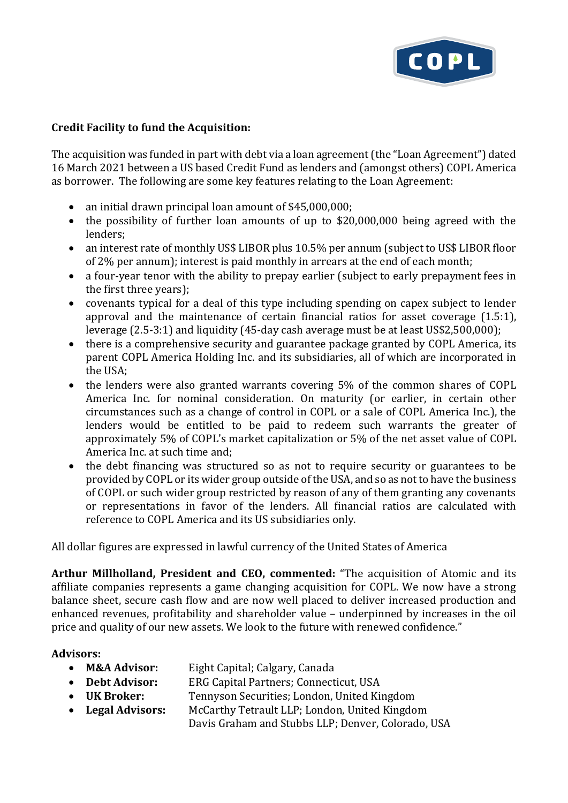

## **Credit Facility to fund the Acquisition:**

The acquisition was funded in part with debt via a loan agreement (the "Loan Agreement") dated 16 March 2021 between a US based Credit Fund as lenders and (amongst others) COPL America as borrower. The following are some key features relating to the Loan Agreement:

- an initial drawn principal loan amount of \$45,000,000;
- the possibility of further loan amounts of up to \$20,000,000 being agreed with the lenders;
- an interest rate of monthly US\$ LIBOR plus 10.5% per annum (subject to US\$ LIBOR floor of 2% per annum); interest is paid monthly in arrears at the end of each month;
- a four-year tenor with the ability to prepay earlier (subject to early prepayment fees in the first three years);
- covenants typical for a deal of this type including spending on capex subject to lender approval and the maintenance of certain financial ratios for asset coverage (1.5:1), leverage (2.5-3:1) and liquidity (45-day cash average must be at least US\$2,500,000);
- there is a comprehensive security and guarantee package granted by COPL America, its parent COPL America Holding Inc. and its subsidiaries, all of which are incorporated in the USA;
- the lenders were also granted warrants covering 5% of the common shares of COPL America Inc. for nominal consideration. On maturity (or earlier, in certain other circumstances such as a change of control in COPL or a sale of COPL America Inc.), the lenders would be entitled to be paid to redeem such warrants the greater of approximately 5% of COPL's market capitalization or 5% of the net asset value of COPL America Inc. at such time and;
- the debt financing was structured so as not to require security or guarantees to be provided by COPL or its wider group outside of the USA, and so as not to have the business of COPL or such wider group restricted by reason of any of them granting any covenants or representations in favor of the lenders. All financial ratios are calculated with reference to COPL America and its US subsidiaries only.

All dollar figures are expressed in lawful currency of the United States of America

**Arthur Millholland, President and CEO, commented:** "The acquisition of Atomic and its affiliate companies represents a game changing acquisition for COPL. We now have a strong balance sheet, secure cash flow and are now well placed to deliver increased production and enhanced revenues, profitability and shareholder value – underpinned by increases in the oil price and quality of our new assets. We look to the future with renewed confidence."

### **Advisors:**

- **M&A Advisor:** Eight Capital; Calgary, Canada
- **Debt Advisor:** ERG Capital Partners; Connecticut, USA
- **UK Broker:** Tennyson Securities; London, United Kingdom
- **Legal Advisors:** McCarthy Tetrault LLP; London, United Kingdom
	- Davis Graham and Stubbs LLP; Denver, Colorado, USA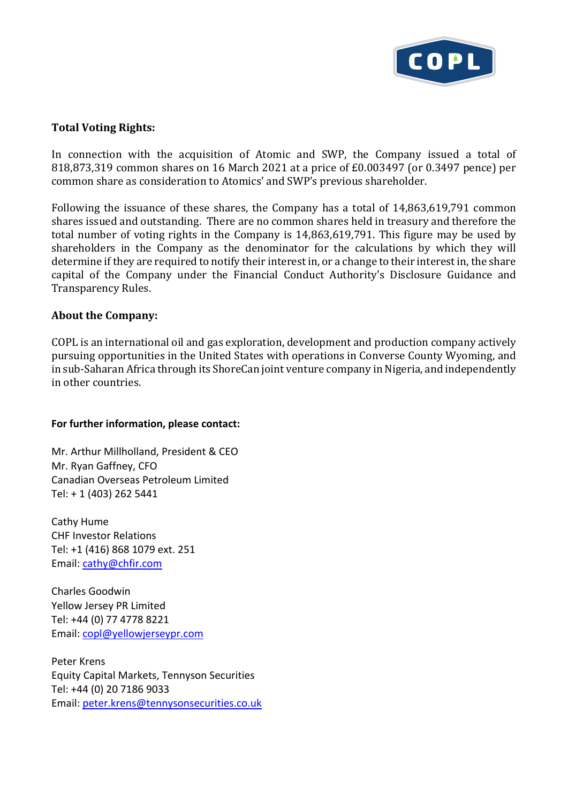

## **Total Voting Rights:**

In connection with the acquisition of Atomic and SWP, the Company issued a total of 818,873,319 common shares on 16 March 2021 at a price of £0.003497 (or 0.3497 pence) per common share as consideration to Atomics' and SWP's previous shareholder.

Following the issuance of these shares, the Company has a total of 14,863,619,791 common shares issued and outstanding. There are no common shares held in treasury and therefore the total number of voting rights in the Company is 14,863,619,791. This figure may be used by shareholders in the Company as the denominator for the calculations by which they will determine if they are required to notify their interest in, or a change to their interest in, the share capital of the Company under the Financial Conduct Authority's Disclosure Guidance and Transparency Rules.

#### **About the Company:**

COPL is an international oil and gas exploration, development and production company actively pursuing opportunities in the United States with operations in Converse County Wyoming, and in sub-Saharan Africa through its ShoreCan joint venture company in Nigeria, and independently in other countries.

#### **For further information, please contact:**

Mr. Arthur Millholland, President & CEO Mr. Ryan Gaffney, CFO Canadian Overseas Petroleum Limited Tel: + 1 (403) 262 5441

Cathy Hume CHF Investor Relations Tel: +1 (416) 868 1079 ext. 251 Email: [cathy@chfir.com](mailto:cathy@chfir.com)

Charles Goodwin Yellow Jersey PR Limited Tel: +44 (0) 77 4778 8221 Email: [copl@yellowjerseypr.com](mailto:copl@yellowjerseypr.com)

Peter Krens Equity Capital Markets, Tennyson Securities Tel: +44 (0) 20 7186 9033 Email: [peter.krens@tennysonsecurities.co.uk](mailto:peter.krens@tennysonsecurities.co.uk)